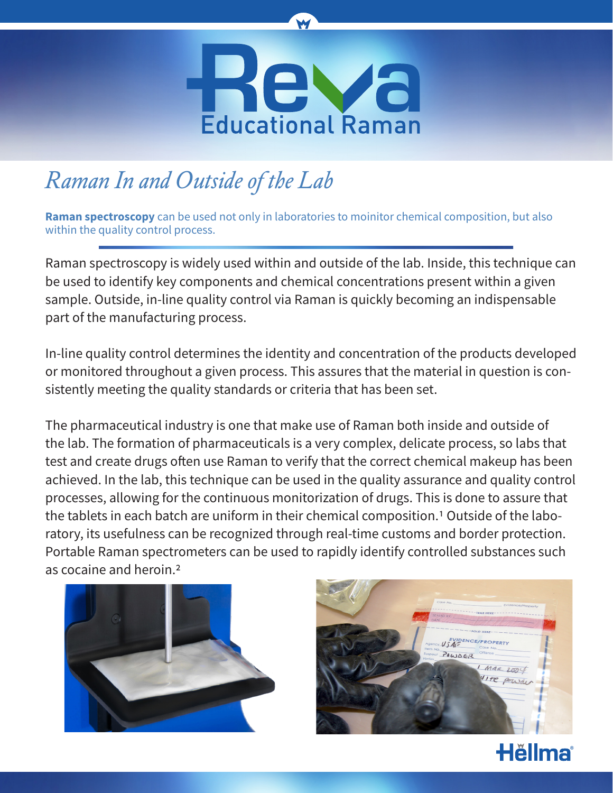

W

## *Raman In and Outside of the Lab*

**Raman spectroscopy** can be used not only in laboratories to moinitor chemical composition, but also within the quality control process.

Raman spectroscopy is widely used within and outside of the lab. Inside, this technique can be used to identify key components and chemical concentrations present within a given sample. Outside, in-line quality control via Raman is quickly becoming an indispensable part of the manufacturing process.

In-line quality control determines the identity and concentration of the products developed or monitored throughout a given process. This assures that the material in question is consistently meeting the quality standards or criteria that has been set.

The pharmaceutical industry is one that make use of Raman both inside and outside of the lab. The formation of pharmaceuticals is a very complex, delicate process, so labs that test and create drugs often use Raman to verify that the correct chemical makeup has been achieved. In the lab, this technique can be used in the quality assurance and quality control processes, allowing for the continuous monitorization of drugs. This is done to assure that the tablets in each batch are uniform in their chemical composition.<sup>1</sup> Outside of the laboratory, its usefulness can be recognized through real-time customs and border protection. Portable Raman spectrometers can be used to rapidly identify controlled substances such as cocaine and heroin.2





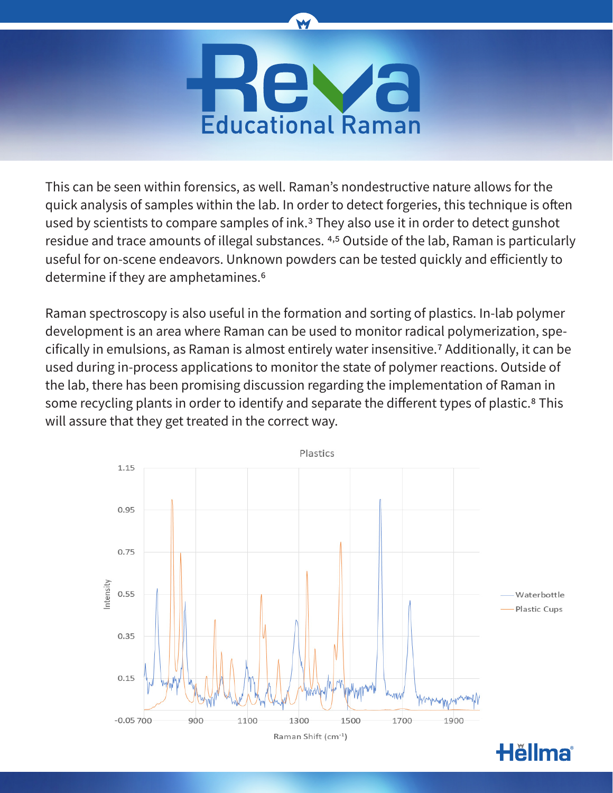

W

This can be seen within forensics, as well. Raman's nondestructive nature allows for the quick analysis of samples within the lab. In order to detect forgeries, this technique is often used by scientists to compare samples of ink.3 They also use it in order to detect gunshot residue and trace amounts of illegal substances. 4,5 Outside of the lab, Raman is particularly useful for on-scene endeavors. Unknown powders can be tested quickly and efficiently to determine if they are amphetamines.6

Raman spectroscopy is also useful in the formation and sorting of plastics. In-lab polymer development is an area where Raman can be used to monitor radical polymerization, specifically in emulsions, as Raman is almost entirely water insensitive.7 Additionally, it can be used during in-process applications to monitor the state of polymer reactions. Outside of the lab, there has been promising discussion regarding the implementation of Raman in some recycling plants in order to identify and separate the different types of plastic.<sup>8</sup> This will assure that they get treated in the correct way.